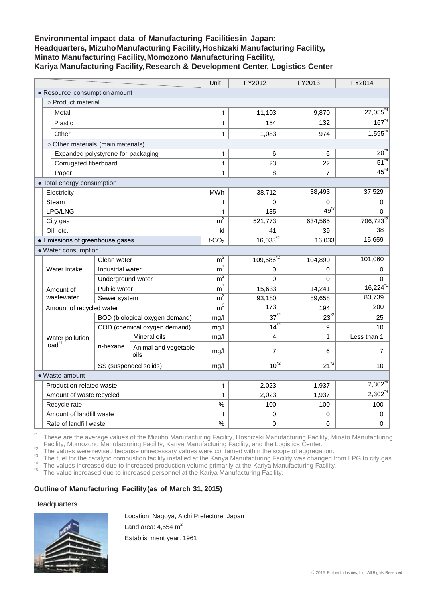# **Environmental impact data of Manufacturing Facilitiesin Japan: Headquarters, MizuhoManufacturing Facility,Hoshizaki Manufacturing Facility, Minato Manufacturing Facility,Momozono Manufacturing Facility, Kariya Manufacturing Facility,Research & Development Center, Logistics Center**

|                               |                                    |                                |                              | Unit                   | FY2012                | FY2013         | FY2014               |
|-------------------------------|------------------------------------|--------------------------------|------------------------------|------------------------|-----------------------|----------------|----------------------|
| • Resource consumption amount |                                    |                                |                              |                        |                       |                |                      |
|                               | o Product material                 |                                |                              |                        |                       |                |                      |
|                               | Metal                              |                                |                              |                        | 11,103                | 9,870          | $22,055^{\text{*}4}$ |
|                               | Plastic                            |                                |                              |                        | 154                   | 132            | $167^{4}$            |
|                               | Other                              |                                |                              |                        | 1,083                 | 974            | $1,595^{4}$          |
|                               | o Other materials (main materials) |                                |                              |                        |                       |                |                      |
|                               | Expanded polystyrene for packaging |                                |                              | t                      | 6                     | 6              | $20^{2}$             |
|                               | Corrugated fiberboard              |                                |                              | t                      | 23                    | 22             | $51^{4}$             |
|                               | Paper                              |                                |                              | t                      | 8                     | $\overline{7}$ | $45^{\degree}$       |
|                               | • Total energy consumption         |                                |                              |                        |                       |                |                      |
|                               | Electricity                        |                                |                              | <b>MWh</b>             | 38,712                | 38,493         | 37,529               |
|                               | Steam                              |                                |                              | t                      | $\Omega$              | $\Omega$       | 0                    |
|                               | LPG/LNG                            |                                |                              | $\mathbf t$            | 135                   | $49^{3}$       | $\Omega$             |
|                               | City gas                           |                                |                              | $\overline{m}^3$       | 521,773               | 634,565        | 706,723 <sup>3</sup> |
|                               | Oil, etc.                          |                                |                              | kl                     | 41                    | 39             | 38                   |
|                               | • Emissions of greenhouse gases    |                                |                              |                        | $16,033^{2}$          | 16,033         | 15,659               |
|                               | · Water consumption                |                                |                              |                        |                       |                |                      |
|                               | Water intake                       | Clean water                    |                              | $\overline{m}^3$       | 109,586 <sup>*2</sup> | 104,890        | 101,060              |
|                               |                                    | Industrial water               |                              | $\overline{m^3}$       | $\Omega$              | 0              | 0                    |
|                               |                                    | Underground water              |                              | $\overline{m^3}$       | 0                     | 0              | 0                    |
|                               | Amount of<br>wastewater            | Public water                   |                              | $\overline{m}^3$       | 15,633                | 14,241         | $16,224^{5}$         |
|                               |                                    | Sewer system                   |                              | $\rm m^{\overline{3}}$ | 93,180                | 89,658         | 83,739               |
|                               | Amount of recycled water           |                                |                              | $\overline{m}^3$       | $\overline{173}$      | 194            | 200                  |
|                               | Water pollution<br>load            | BOD (biological oxygen demand) |                              | mg/l                   | $37^{2}$              | $23^{2}$       | 25                   |
|                               |                                    | COD (chemical oxygen demand)   |                              | mg/l                   | $14^{2}$              | 9              | 10                   |
|                               |                                    | n-hexane                       | Mineral oils                 | mg/l                   | 4                     | 1              | Less than 1          |
|                               |                                    |                                | Animal and vegetable<br>oils | mq/l                   | $\overline{7}$        | 6              | $\overline{7}$       |
|                               |                                    | SS (suspended solids)          |                              | mg/l                   | $10^{2}$              | $21^{2}$       | 10                   |
|                               | • Waste amount                     |                                |                              |                        |                       |                |                      |
|                               | Production-related waste           |                                |                              | t                      | 2,023                 | 1,937          | $2,302^{\degree}$    |
|                               | Amount of waste recycled           |                                |                              | t                      | 2,023                 | 1,937          | $2,302^{4}$          |
|                               | Recycle rate                       |                                |                              | $\%$                   | 100                   | 100            | 100                  |
|                               | Amount of landfill waste           |                                |                              | t                      | 0                     | 0              | 0                    |
|                               |                                    | Rate of landfill waste         |                              |                        | $\mathbf 0$           | $\mathbf 0$    | 0                    |

<sup>\*1</sup>: These are the average values of the Mizuho Manufacturing Facility, Hoshizaki Manufacturing Facility, Minato Manufacturing

Facility, Momozono Manufacturing Facility, Kariya Manufacturing Facility, and the Logistics Center.<br><sup>\*2</sup>: The values were revised because unnecessary values were contained within the scope of aggregation.<br><sup>\*3</sup>: The fuel fo

the fuer for the catalytic compussion radiity installed at the Narrya Martial Stating County 1999 in the values increased due to increased production volume primarily at the Kariya Manufacturing Facility.<br>
<sup>\*5</sup>: The value

#### **Outline of Manufacturing Facility(as of March 31, 2015)**

#### **Headquarters**



Location: Nagoya, Aichi Prefecture, Japan Land area:  $4.554$  m<sup>2</sup> Establishment year: 1961